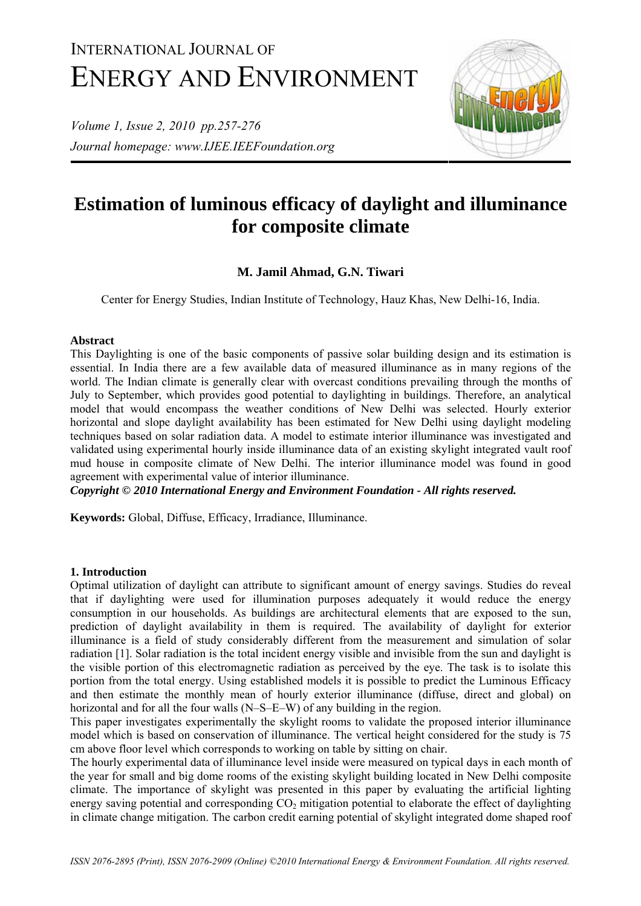# INTERNATIONAL JOURNAL OF ENERGY AND ENVIRONMENT

*Volume 1, Issue 2, 2010 pp.257-276 Journal homepage: www.IJEE.IEEFoundation.org* 



# **Estimation of luminous efficacy of daylight and illuminance for composite climate**

# **M. Jamil Ahmad, G.N. Tiwari**

Center for Energy Studies, Indian Institute of Technology, Hauz Khas, New Delhi-16, India.

# **Abstract**

This Daylighting is one of the basic components of passive solar building design and its estimation is essential. In India there are a few available data of measured illuminance as in many regions of the world. The Indian climate is generally clear with overcast conditions prevailing through the months of July to September, which provides good potential to daylighting in buildings. Therefore, an analytical model that would encompass the weather conditions of New Delhi was selected. Hourly exterior horizontal and slope daylight availability has been estimated for New Delhi using daylight modeling techniques based on solar radiation data. A model to estimate interior illuminance was investigated and validated using experimental hourly inside illuminance data of an existing skylight integrated vault roof mud house in composite climate of New Delhi. The interior illuminance model was found in good agreement with experimental value of interior illuminance.

*Copyright © 2010 International Energy and Environment Foundation - All rights reserved.*

**Keywords:** Global, Diffuse, Efficacy, Irradiance, Illuminance.

## **1. Introduction**

Optimal utilization of daylight can attribute to significant amount of energy savings. Studies do reveal that if daylighting were used for illumination purposes adequately it would reduce the energy consumption in our households. As buildings are architectural elements that are exposed to the sun, prediction of daylight availability in them is required. The availability of daylight for exterior illuminance is a field of study considerably different from the measurement and simulation of solar radiation [1]. Solar radiation is the total incident energy visible and invisible from the sun and daylight is the visible portion of this electromagnetic radiation as perceived by the eye. The task is to isolate this portion from the total energy. Using established models it is possible to predict the Luminous Efficacy and then estimate the monthly mean of hourly exterior illuminance (diffuse, direct and global) on horizontal and for all the four walls (N–S–E–W) of any building in the region.

This paper investigates experimentally the skylight rooms to validate the proposed interior illuminance model which is based on conservation of illuminance. The vertical height considered for the study is 75 cm above floor level which corresponds to working on table by sitting on chair.

The hourly experimental data of illuminance level inside were measured on typical days in each month of the year for small and big dome rooms of the existing skylight building located in New Delhi composite climate. The importance of skylight was presented in this paper by evaluating the artificial lighting energy saving potential and corresponding  $CO<sub>2</sub>$  mitigation potential to elaborate the effect of daylighting in climate change mitigation. The carbon credit earning potential of skylight integrated dome shaped roof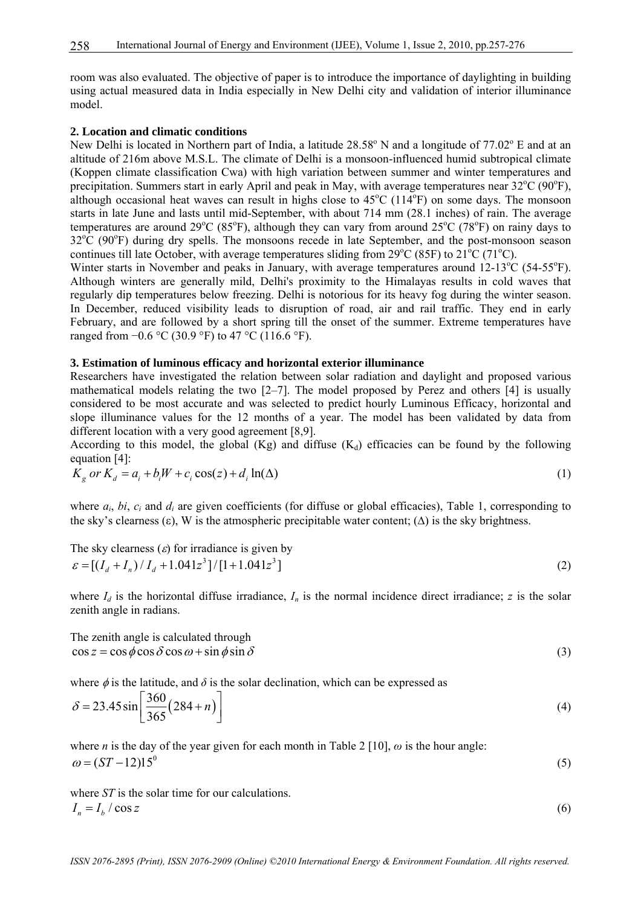room was also evaluated. The objective of paper is to introduce the importance of daylighting in building using actual measured data in India especially in New Delhi city and validation of interior illuminance model.

#### **2. Location and climatic conditions**

New Delhi is located in Northern part of India, a latitude 28.58° N and a longitude of 77.02° E and at an altitude of 216m above M.S.L. The climate of Delhi is a monsoon-influenced humid subtropical climate (Koppen climate classification Cwa) with high variation between summer and winter temperatures and precipitation. Summers start in early April and peak in May, with average temperatures near  $32^{\circ}C$  (90 $^{\circ}F$ ), although occasional heat waves can result in highs close to  $45^{\circ}$ C (114 $^{\circ}$ F) on some days. The monsoon starts in late June and lasts until mid-September, with about 714 mm (28.1 inches) of rain. The average temperatures are around 29 $^{\circ}$ C (85 $^{\circ}$ F), although they can vary from around 25 $^{\circ}$ C (78 $^{\circ}$ F) on rainy days to  $32^{\circ}$ C (90 $^{\circ}$ F) during dry spells. The monsoons recede in late September, and the post-monsoon season continues till late October, with average temperatures sliding from  $29^{\circ}$ C (85F) to  $21^{\circ}$ C (71<sup>o</sup>C).

Winter starts in November and peaks in January, with average temperatures around 12-13°C (54-55°F). Although winters are generally mild, Delhi's proximity to the Himalayas results in cold waves that regularly dip temperatures below freezing. Delhi is notorious for its heavy fog during the winter season. In December, reduced visibility leads to disruption of road, air and rail traffic. They end in early February, and are followed by a short spring till the onset of the summer. Extreme temperatures have ranged from  $-0.6$  °C (30.9 °F) to 47 °C (116.6 °F).

#### **3. Estimation of luminous efficacy and horizontal exterior illuminance**

Researchers have investigated the relation between solar radiation and daylight and proposed various mathematical models relating the two  $[2-7]$ . The model proposed by Perez and others  $[4]$  is usually considered to be most accurate and was selected to predict hourly Luminous Efficacy, horizontal and slope illuminance values for the 12 months of a year. The model has been validated by data from different location with a very good agreement [8,9].

According to this model, the global (Kg) and diffuse  $(K_d)$  efficacies can be found by the following equation [4]:

$$
K_g \text{ or } K_d = a_i + b_i W + c_i \cos(z) + d_i \ln(\Delta) \tag{1}
$$

where  $a_i$ ,  $bi$ ,  $c_i$  and  $d_i$  are given coefficients (for diffuse or global efficacies), Table 1, corresponding to the sky's clearness  $(\epsilon)$ , W is the atmospheric precipitable water content;  $(\Delta)$  is the sky brightness.

The sky clearness (
$$
\varepsilon
$$
) for irradiance is given by  
\n
$$
\varepsilon = \left[ (I_d + I_n) / I_d + 1.041z^3 \right] / [1 + 1.041z^3]
$$
\n(2)

where  $I_d$  is the horizontal diffuse irradiance,  $I_n$  is the normal incidence direct irradiance; *z* is the solar zenith angle in radians.

The zenith angle is calculated through  $\cos z = \cos \phi \cos \delta \cos \omega + \sin \phi \sin \delta$  (3)

where  $\phi$  is the latitude, and  $\delta$  is the solar declination, which can be expressed as

$$
\delta = 23.45 \sin \left[ \frac{360}{365} (284 + n) \right]
$$
 (4)

where *n* is the day of the year given for each month in Table 2 [10],  $\omega$  is the hour angle:  $\omega = (ST - 12)15^{0}$  (5)

where *ST* is the solar time for our calculations.  $I_n = I_b / \cos z$  (6)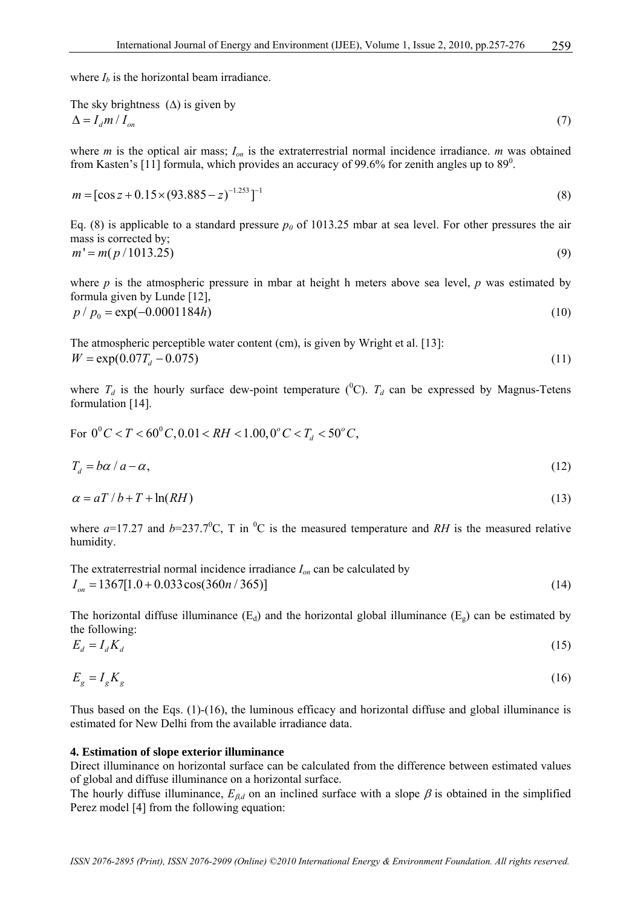where  $I_b$  is the horizontal beam irradiance.

The sky brightness (
$$
\Delta
$$
) is given by  
\n
$$
\Delta = I_d m / I_{on}
$$
\n(7)

where *m* is the optical air mass;  $I_{on}$  is the extraterrestrial normal incidence irradiance. *m* was obtained from Kasten's [11] formula, which provides an accuracy of 99.6% for zenith angles up to 89<sup>0</sup>.

$$
m = [\cos z + 0.15 \times (93.885 - z)^{-1.253}]^{-1}
$$
\n(8)

Eq. (8) is applicable to a standard pressure  $p_0$  of 1013.25 mbar at sea level. For other pressures the air mass is corrected by;  $m' = m(p/1013.25)$  (9)

where  $p$  is the atmospheric pressure in mbar at height h meters above sea level,  $p$  was estimated by formula given by Lunde [12],  $p / p_0 = \exp(-0.0001184h)$  (10)

The atmospheric perceptible water content (cm), is given by Wright et al. [13]:  $W = \exp(0.07 T_a - 0.075)$  (11)

where  $T_d$  is the hourly surface dew-point temperature (<sup>0</sup>C).  $T_d$  can be expressed by Magnus-Tetens formulation [14].

For 
$$
0^{\circ}C < T < 60^{\circ}C
$$
,  $0.01 < RH < 1.00$ ,  $0^{\circ}C < T_d < 50^{\circ}C$ ,

$$
T_d = b\alpha / a - \alpha, \tag{12}
$$

$$
\alpha = aT/b + T + \ln(RH) \tag{13}
$$

where  $a=17.27$  and  $b=237.7^{\circ}$ C, T in <sup>o</sup>C is the measured temperature and *RH* is the measured relative humidity.

The extraterrestrial normal incidence irradiance 
$$
I_{on}
$$
 can be calculated by  
\n $I_{on} = 1367[1.0 + 0.033 \cos(360n / 365)]$  (14)

The horizontal diffuse illuminance  $(E_d)$  and the horizontal global illuminance  $(E_g)$  can be estimated by the following:

$$
E_d = I_d K_d \tag{15}
$$

$$
E_g = I_g K_g \tag{16}
$$

Thus based on the Eqs. (1)-(16), the luminous efficacy and horizontal diffuse and global illuminance is estimated for New Delhi from the available irradiance data.

#### **4. Estimation of slope exterior illuminance**

Direct illuminance on horizontal surface can be calculated from the difference between estimated values of global and diffuse illuminance on a horizontal surface.

The hourly diffuse illuminance,  $E_{\beta d}$  on an inclined surface with a slope  $\beta$  is obtained in the simplified Perez model [4] from the following equation: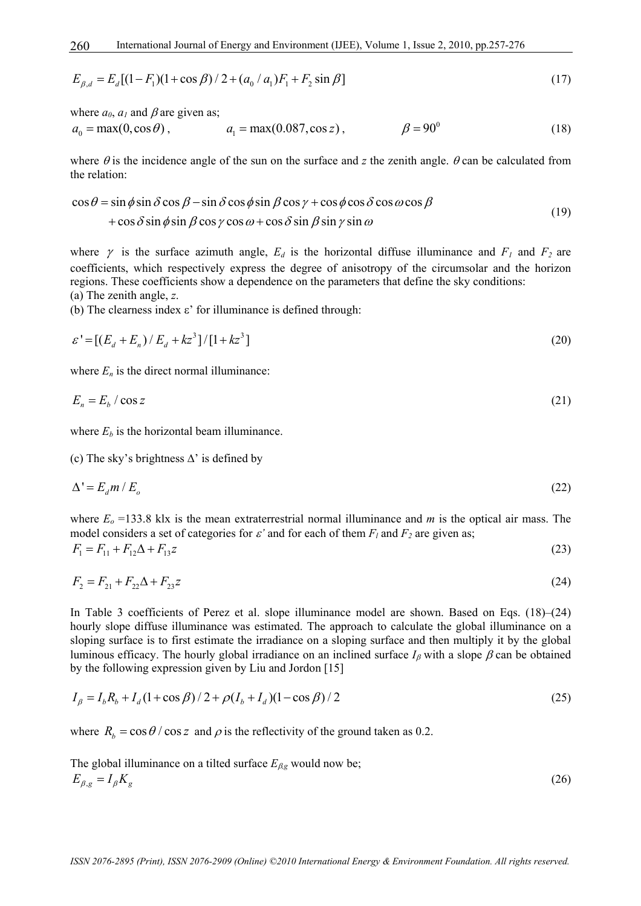$$
E_{\beta,d} = E_d[(1 - F_1)(1 + \cos \beta)/2 + (a_0 / a_1)F_1 + F_2 \sin \beta]
$$
\n(17)

where  $a_0$ ,  $a_1$  and  $\beta$  are given as;

$$
a_0 = \max(0, \cos \theta), \qquad a_1 = \max(0.087, \cos z), \qquad \beta = 90^\circ \tag{18}
$$

where  $\theta$  is the incidence angle of the sun on the surface and *z* the zenith angle.  $\theta$  can be calculated from the relation:

$$
\cos \theta = \sin \phi \sin \delta \cos \beta - \sin \delta \cos \phi \sin \beta \cos \gamma + \cos \phi \cos \delta \cos \omega \cos \beta + \cos \delta \sin \phi \sin \beta \cos \gamma \cos \omega + \cos \delta \sin \beta \sin \gamma \sin \omega
$$
(19)

where  $\gamma$  is the surface azimuth angle,  $E_d$  is the horizontal diffuse illuminance and  $F_1$  and  $F_2$  are coefficients, which respectively express the degree of anisotropy of the circumsolar and the horizon regions. These coefficients show a dependence on the parameters that define the sky conditions: (a) The zenith angle, *z*.

(b) The clearness index  $ε'$  for illuminance is defined through:

$$
\varepsilon' = [(E_d + E_n) / E_d + kz^3] / [1 + kz^3]
$$
\n(20)

where  $E_n$  is the direct normal illuminance:

$$
E_n = E_b / \cos z \tag{21}
$$

where  $E<sub>b</sub>$  is the horizontal beam illuminance.

(c) The sky's brightness ∆' is defined by

$$
\Delta' = E_d m / E_o \tag{22}
$$

where  $E<sub>o</sub> = 133.8$  klx is the mean extraterrestrial normal illuminance and *m* is the optical air mass. The model considers a set of categories for  $\varepsilon'$  and for each of them  $F_l$  and  $F_2$  are given as;  $F_1 = F_{11} + F_{12} \Delta + F_{13} z$  (23)

$$
F_2 = F_{21} + F_{22}\Delta + F_{23}z \tag{24}
$$

In Table 3 coefficients of Perez et al. slope illuminance model are shown. Based on Eqs. (18)–(24) hourly slope diffuse illuminance was estimated. The approach to calculate the global illuminance on a sloping surface is to first estimate the irradiance on a sloping surface and then multiply it by the global luminous efficacy. The hourly global irradiance on an inclined surface  $I_\beta$  with a slope  $\beta$  can be obtained by the following expression given by Liu and Jordon [15]

$$
I_{\beta} = I_{b}R_{b} + I_{d}(1 + \cos \beta)/2 + \rho(I_{b} + I_{d})(1 - \cos \beta)/2
$$
\n(25)

where  $R_b = \cos \theta / \cos z$  and  $\rho$  is the reflectivity of the ground taken as 0.2.

The global illuminationce on a tilted surface 
$$
E_{\beta g}
$$
 would now be;  
\n
$$
E_{\beta g} = I_{\beta} K_{g}
$$
\n(26)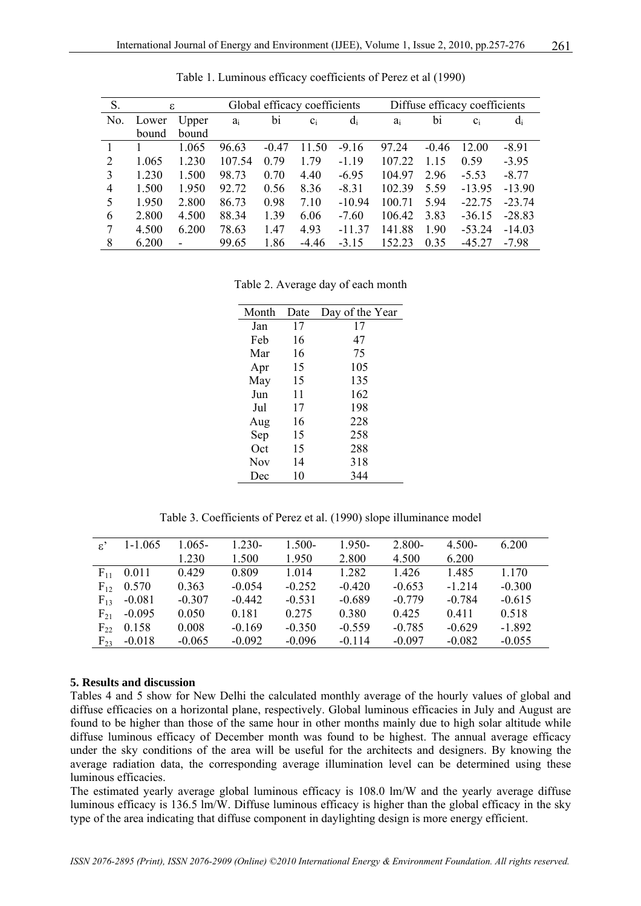| S.  | ε     |       |        |         | Global efficacy coefficients |          |        |         | Diffuse efficacy coefficients |          |
|-----|-------|-------|--------|---------|------------------------------|----------|--------|---------|-------------------------------|----------|
| No. | Lower | Upper | $a_i$  | bi      | $C_i$                        | $d_i$    | $a_i$  | bi      | $C_i$                         | $d_i$    |
|     | bound | bound |        |         |                              |          |        |         |                               |          |
|     |       | 1.065 | 96.63  | $-0.47$ | 11.50                        | $-9.16$  | 97.24  | $-0.46$ | 12.00                         | $-8.91$  |
| 2   | 1.065 | 1.230 | 107.54 | 0.79    | 1.79                         | $-1.19$  | 107.22 | 1.15    | 0.59                          | $-3.95$  |
| 3   | 1.230 | 1.500 | 98.73  | 0.70    | 4.40                         | $-6.95$  | 104.97 | 2.96    | $-5.53$                       | $-8.77$  |
| 4   | 1.500 | 1.950 | 92.72  | 0.56    | 8.36                         | $-8.31$  | 102.39 | 5.59    | $-13.95$                      | $-13.90$ |
| 5   | 1.950 | 2.800 | 86.73  | 0.98    | 7.10                         | $-10.94$ | 100.71 | 5.94    | $-22.75$                      | $-23.74$ |
| 6   | 2.800 | 4.500 | 88.34  | 1.39    | 6.06                         | $-7.60$  | 106.42 | 3.83    | $-36.15$                      | $-28.83$ |
| 7   | 4.500 | 6.200 | 78.63  | 1.47    | 4.93                         | $-11.37$ | 141.88 | 1.90    | $-53.24$                      | $-14.03$ |
| 8   | 6.200 |       | 99.65  | 1.86    | $-4.46$                      | $-3.15$  | 152.23 | 0.35    | $-45.27$                      | $-7.98$  |

Table 1. Luminous efficacy coefficients of Perez et al (1990)

Table 2. Average day of each month

| Month      | Date | Day of the Year |
|------------|------|-----------------|
| Jan        | 17   | 17              |
| Feb        | 16   | 47              |
| Mar        | 16   | 75              |
| Apr        | 15   | 105             |
| May        | 15   | 135             |
| Jun        | 11   | 162             |
| Jul        | 17   | 198             |
| Aug        | 16   | 228             |
| Sep        | 15   | 258             |
| Oct        | 15   | 288             |
| <b>Nov</b> | 14   | 318             |
| Dec        | 10   | 344             |

Table 3. Coefficients of Perez et al. (1990) slope illuminance model

| $\varepsilon$ ' | $1 - 1.065$ | $1.065 -$ | $1.230-$ | 1.500-   | $1.950-$ | $2.800 -$ | $4.500 -$ | 6.200    |
|-----------------|-------------|-----------|----------|----------|----------|-----------|-----------|----------|
|                 |             | 1.230     | 1.500    | 1.950    | 2.800    | 4.500     | 6.200     |          |
| $F_{11}$        | 0.011       | 0.429     | 0.809    | 1 0 1 4  | 1.282    | 1.426     | 1.485     | 1.170    |
| $F_{12}$        | 0.570       | 0.363     | $-0.054$ | $-0.252$ | $-0.420$ | $-0.653$  | $-1214$   | $-0.300$ |
| $F_{13}$        | $-0.081$    | $-0.307$  | $-0.442$ | $-0.531$ | $-0.689$ | $-0.779$  | $-0.784$  | $-0.615$ |
| $F_{21}$        | $-0.095$    | 0.050     | 0.181    | 0.275    | 0.380    | 0.425     | 0.411     | 0.518    |
| $F_{22}$        | 0.158       | 0.008     | $-0.169$ | $-0.350$ | $-0.559$ | $-0.785$  | $-0.629$  | $-1.892$ |
| $F_{23}$        | $-0.018$    | $-0.065$  | $-0.092$ | $-0.096$ | $-0.114$ | $-0.097$  | $-0.082$  | $-0.055$ |

#### **5. Results and discussion**

Tables 4 and 5 show for New Delhi the calculated monthly average of the hourly values of global and diffuse efficacies on a horizontal plane, respectively. Global luminous efficacies in July and August are found to be higher than those of the same hour in other months mainly due to high solar altitude while diffuse luminous efficacy of December month was found to be highest. The annual average efficacy under the sky conditions of the area will be useful for the architects and designers. By knowing the average radiation data, the corresponding average illumination level can be determined using these luminous efficacies.

The estimated yearly average global luminous efficacy is 108.0 lm/W and the yearly average diffuse luminous efficacy is 136.5 lm/W. Diffuse luminous efficacy is higher than the global efficacy in the sky type of the area indicating that diffuse component in daylighting design is more energy efficient.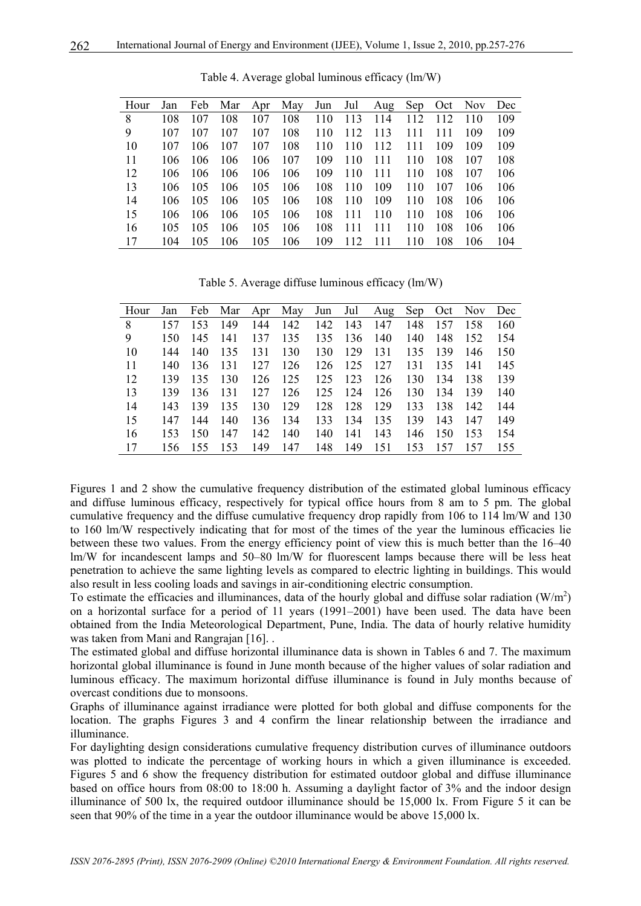| Hour | Jan |     | Feb Mar Apr May |     |     | Jun | Jul | Aug | Sep | Oct | Nov. | Dec |
|------|-----|-----|-----------------|-----|-----|-----|-----|-----|-----|-----|------|-----|
| 8    | 108 | 107 | 108             | 107 | 108 | 110 | 113 | 114 | 112 | 112 | 110  | 109 |
| 9    | 107 | 107 | 107             | 107 | 108 | 110 | 112 | 113 | 111 | 111 | 109  | 109 |
| 10   | 107 | 106 | 107             | 107 | 108 | 110 | 110 | 112 | 111 | 109 | 109  | 109 |
| 11   | 106 | 106 | 106             | 106 | 107 | 109 | 110 | 111 | 110 | 108 | 107  | 108 |
| 12   | 106 | 106 | 106             | 106 | 106 | 109 | 110 | 111 | 110 | 108 | 107  | 106 |
| 13   | 106 | 105 | 106             | 105 | 106 | 108 | 110 | 109 | 110 | 107 | 106  | 106 |
| 14   | 106 | 105 | 106             | 105 | 106 | 108 | 110 | 109 | 110 | 108 | 106  | 106 |
| 15   | 106 | 106 | 106             | 105 | 106 | 108 | 111 | 110 | 110 | 108 | 106  | 106 |
| 16   | 105 | 105 | 106             | 105 | 106 | 108 | 111 | 111 | 110 | 108 | 106  | 106 |
| 17   | 104 | 105 | 106             | 105 | 106 | 109 | 112 | 111 | 110 | 108 | 106  | 104 |
|      |     |     |                 |     |     |     |     |     |     |     |      |     |

Table 4. Average global luminous efficacy (lm/W)

Table 5. Average diffuse luminous efficacy (lm/W)

| Hour | Jan  |     |     |     | Feb Mar Apr May |     |         | Jun Jul Aug | Sep | Oct | Nov. | Dec |
|------|------|-----|-----|-----|-----------------|-----|---------|-------------|-----|-----|------|-----|
| 8    | 157  | 153 | 149 | 144 | 142             | 142 | 143     | 147         | 148 | 157 | 158  | 160 |
| 9    | 150  | 145 | 141 | 137 | 135             | 135 | 136     | 140         | 140 | 148 | 152  | 154 |
| 10   | 144  | 140 | 135 | 131 | 130             | 130 | 129     | 131         | 135 | 139 | 146  | 150 |
| 11   | 140  | 136 | 131 | 127 | 126             |     | 126 125 | 127         | 131 | 135 | -141 | 145 |
| 12   | 139  | 135 | 130 | 126 | 125             | 125 | 123     | 126         | 130 | 134 | 138  | 139 |
| 13   | 139  | 136 | 131 | 127 | 126             | 125 | 124     | 126         | 130 | 134 | 139  | 140 |
| 14   | 143  | 139 | 135 | 130 | 129             | 128 | 128     | 129         | 133 | 138 | 142  | 144 |
| 15   | 147  | 144 | 140 | 136 | 134             | 133 | 134     | 135         | 139 | 143 | 147  | 149 |
| 16   | 153  | 150 | 147 | 142 | 140             | 140 | 141     | 143         | 146 | 150 | 153  | 154 |
| 17   | 156. | 155 | 153 | 149 | 147             | 148 | 149     | 151         | 153 | 157 | 157  | 155 |

Figures 1 and 2 show the cumulative frequency distribution of the estimated global luminous efficacy and diffuse luminous efficacy, respectively for typical office hours from 8 am to 5 pm. The global cumulative frequency and the diffuse cumulative frequency drop rapidly from 106 to 114 lm/W and 130 to 160 lm/W respectively indicating that for most of the times of the year the luminous efficacies lie between these two values. From the energy efficiency point of view this is much better than the 16–40 lm/W for incandescent lamps and 50–80 lm/W for fluorescent lamps because there will be less heat penetration to achieve the same lighting levels as compared to electric lighting in buildings. This would also result in less cooling loads and savings in air-conditioning electric consumption.

To estimate the efficacies and illuminances, data of the hourly global and diffuse solar radiation  $(W/m^2)$ on a horizontal surface for a period of 11 years (1991–2001) have been used. The data have been obtained from the India Meteorological Department, Pune, India. The data of hourly relative humidity was taken from Mani and Rangrajan [16]...

The estimated global and diffuse horizontal illuminance data is shown in Tables 6 and 7. The maximum horizontal global illuminance is found in June month because of the higher values of solar radiation and luminous efficacy. The maximum horizontal diffuse illuminance is found in July months because of overcast conditions due to monsoons.

Graphs of illuminance against irradiance were plotted for both global and diffuse components for the location. The graphs Figures 3 and 4 confirm the linear relationship between the irradiance and illuminance.

For daylighting design considerations cumulative frequency distribution curves of illuminance outdoors was plotted to indicate the percentage of working hours in which a given illuminance is exceeded. Figures 5 and 6 show the frequency distribution for estimated outdoor global and diffuse illuminance based on office hours from 08:00 to 18:00 h. Assuming a daylight factor of 3% and the indoor design illuminance of 500 lx, the required outdoor illuminance should be 15,000 lx. From Figure 5 it can be seen that 90% of the time in a year the outdoor illuminance would be above 15,000 lx.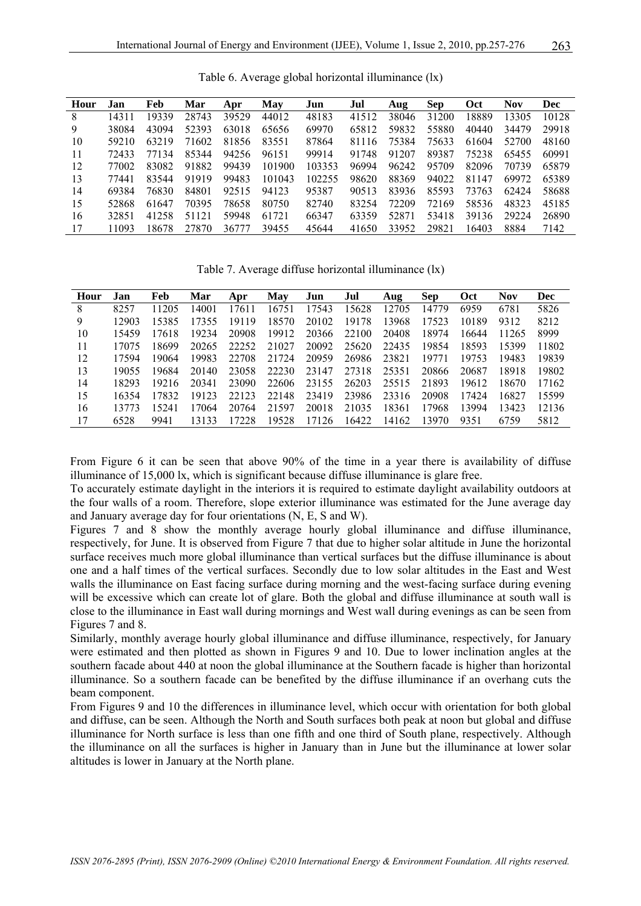| Hour | Jan   | Feb   | Mar   | Apr   | May    | Jun    | Jul   | Aug   | <b>Sep</b> | Oct   | <b>Nov</b> | <b>Dec</b> |
|------|-------|-------|-------|-------|--------|--------|-------|-------|------------|-------|------------|------------|
| 8    | 14311 | 19339 | 28743 | 39529 | 44012  | 48183  | 41512 | 38046 | 31200      | 18889 | 13305      | 10128      |
| 9    | 38084 | 43094 | 52393 | 63018 | 65656  | 69970  | 65812 | 59832 | 55880      | 40440 | 34479      | 29918      |
| 10   | 59210 | 63219 | 71602 | 81856 | 83551  | 87864  | 81116 | 75384 | 75633      | 61604 | 52700      | 48160      |
| 11   | 72433 | 77134 | 85344 | 94256 | 96151  | 99914  | 91748 | 91207 | 89387      | 75238 | 65455      | 60991      |
| 12   | 77002 | 83082 | 91882 | 99439 | 101900 | 103353 | 96994 | 96242 | 95709      | 82096 | 70739      | 65879      |
| 13   | 77441 | 83544 | 91919 | 99483 | 101043 | 102255 | 98620 | 88369 | 94022      | 81147 | 69972      | 65389      |
| 14   | 69384 | 76830 | 84801 | 92515 | 94123  | 95387  | 90513 | 83936 | 85593      | 73763 | 62424      | 58688      |
| 15   | 52868 | 61647 | 70395 | 78658 | 80750  | 82740  | 83254 | 72209 | 72169      | 58536 | 48323      | 45185      |
| 16   | 32851 | 41258 | 51121 | 59948 | 61721  | 66347  | 63359 | 52871 | 53418      | 39136 | 29224      | 26890      |
| 17   | 11093 | 18678 | 27870 | 36777 | 39455  | 45644  | 41650 | 33952 | 29821      | 16403 | 8884       | 7142       |

Table 6. Average global horizontal illuminance (lx)

Table 7. Average diffuse horizontal illuminance (lx)

| Hour | Jan   | Feb   | Mar   | Apr   | May   | Jun   | Jul   | Aug   | <b>Sep</b> | <b>Oct</b> | <b>Nov</b> | <b>Dec</b> |
|------|-------|-------|-------|-------|-------|-------|-------|-------|------------|------------|------------|------------|
| 8    | 8257  | 11205 | 14001 | 17611 | 16751 | 17543 | 15628 | 12705 | 14779      | 6959       | 6781       | 5826       |
| 9    | 12903 | 15385 | 17355 | 19119 | 18570 | 20102 | 19178 | 13968 | 17523      | 10189      | 9312       | 8212       |
| 10   | 15459 | 17618 | 19234 | 20908 | 19912 | 20366 | 22100 | 20408 | 18974      | 16644      | 11265      | 8999       |
| 11   | 17075 | 18699 | 20265 | 22252 | 21027 | 20092 | 25620 | 22435 | 19854      | 18593      | 15399      | 11802      |
| 12   | 17594 | 19064 | 19983 | 22708 | 21724 | 20959 | 26986 | 23821 | 19771      | 19753      | 19483      | 19839      |
| 13   | 19055 | 19684 | 20140 | 23058 | 22230 | 23147 | 27318 | 25351 | 20866      | 20687      | 18918      | 19802      |
| 14   | 18293 | 19216 | 20341 | 23090 | 22606 | 23155 | 26203 | 25515 | 21893      | 19612      | 18670      | 17162      |
| 15   | 16354 | 17832 | 19123 | 22123 | 22148 | 23419 | 23986 | 23316 | 20908      | 17424      | 16827      | 15599      |
| 16   | 13773 | 15241 | 17064 | 20764 | 21597 | 20018 | 21035 | 18361 | 17968      | 13994      | 13423      | 12136      |
| 17   | 6528  | 9941  | 13133 | 17228 | 19528 | 17126 | 16422 | 14162 | 13970      | 9351       | 6759       | 5812       |

From Figure 6 it can be seen that above 90% of the time in a year there is availability of diffuse illuminance of 15,000 lx, which is significant because diffuse illuminance is glare free.

To accurately estimate daylight in the interiors it is required to estimate daylight availability outdoors at the four walls of a room. Therefore, slope exterior illuminance was estimated for the June average day and January average day for four orientations (N, E, S and W).

Figures 7 and 8 show the monthly average hourly global illuminance and diffuse illuminance, respectively, for June. It is observed from Figure 7 that due to higher solar altitude in June the horizontal surface receives much more global illuminance than vertical surfaces but the diffuse illuminance is about one and a half times of the vertical surfaces. Secondly due to low solar altitudes in the East and West walls the illuminance on East facing surface during morning and the west-facing surface during evening will be excessive which can create lot of glare. Both the global and diffuse illuminance at south wall is close to the illuminance in East wall during mornings and West wall during evenings as can be seen from Figures 7 and 8.

Similarly, monthly average hourly global illuminance and diffuse illuminance, respectively, for January were estimated and then plotted as shown in Figures 9 and 10. Due to lower inclination angles at the southern facade about 440 at noon the global illuminance at the Southern facade is higher than horizontal illuminance. So a southern facade can be benefited by the diffuse illuminance if an overhang cuts the beam component.

From Figures 9 and 10 the differences in illuminance level, which occur with orientation for both global and diffuse, can be seen. Although the North and South surfaces both peak at noon but global and diffuse illuminance for North surface is less than one fifth and one third of South plane, respectively. Although the illuminance on all the surfaces is higher in January than in June but the illuminance at lower solar altitudes is lower in January at the North plane.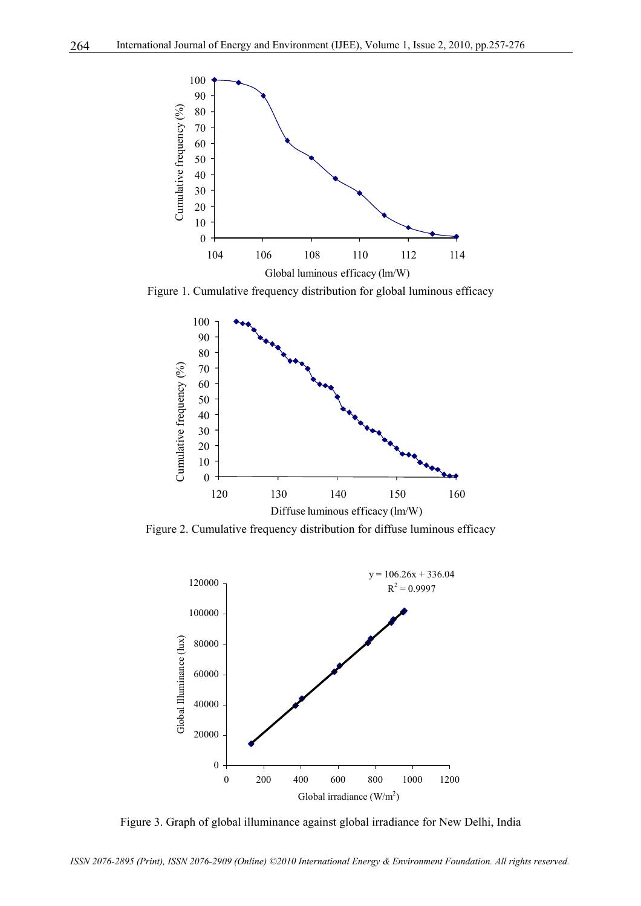

Figure 1. Cumulative frequency distribution for global luminous efficacy



Figure 2. Cumulative frequency distribution for diffuse luminous efficacy



Figure 3. Graph of global illuminance against global irradiance for New Delhi, India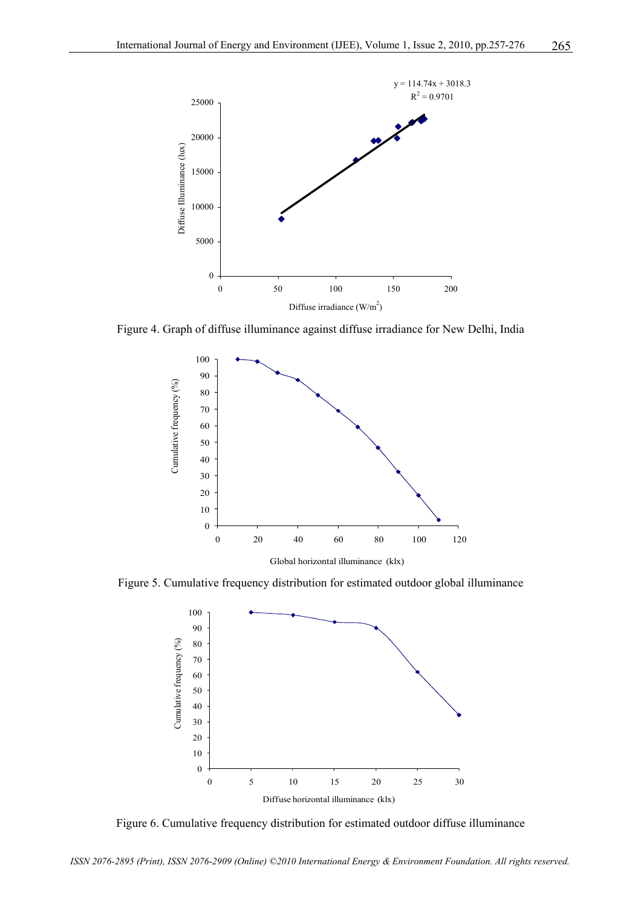

Figure 4. Graph of diffuse illuminance against diffuse irradiance for New Delhi, India



Figure 5. Cumulative frequency distribution for estimated outdoor global illuminance



Figure 6. Cumulative frequency distribution for estimated outdoor diffuse illuminance

*ISSN 2076-2895 (Print), ISSN 2076-2909 (Online) ©2010 International Energy & Environment Foundation. All rights reserved.*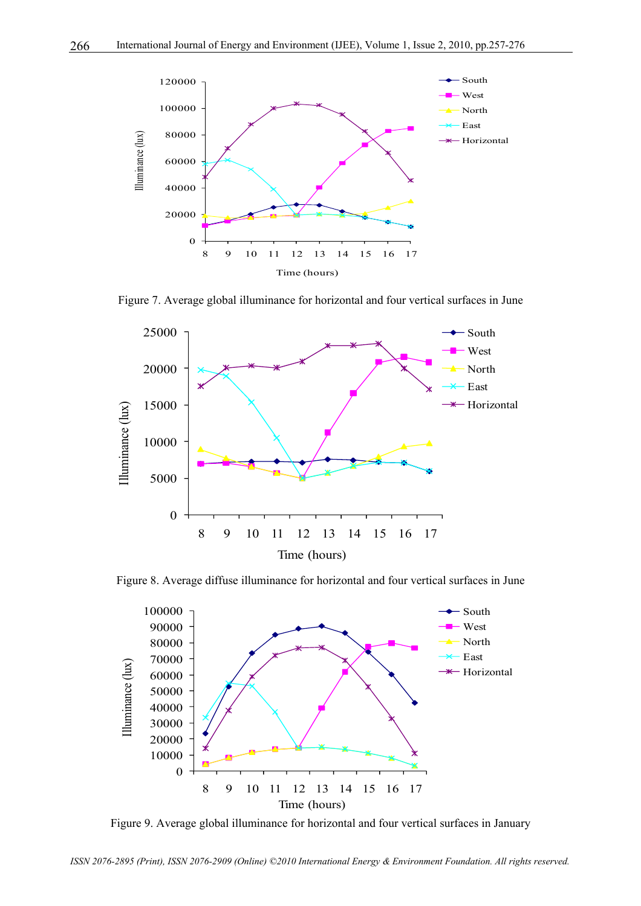

Figure 7. Average global illuminance for horizontal and four vertical surfaces in June



Figure 8. Average diffuse illuminance for horizontal and four vertical surfaces in June



Figure 9. Average global illuminance for horizontal and four vertical surfaces in January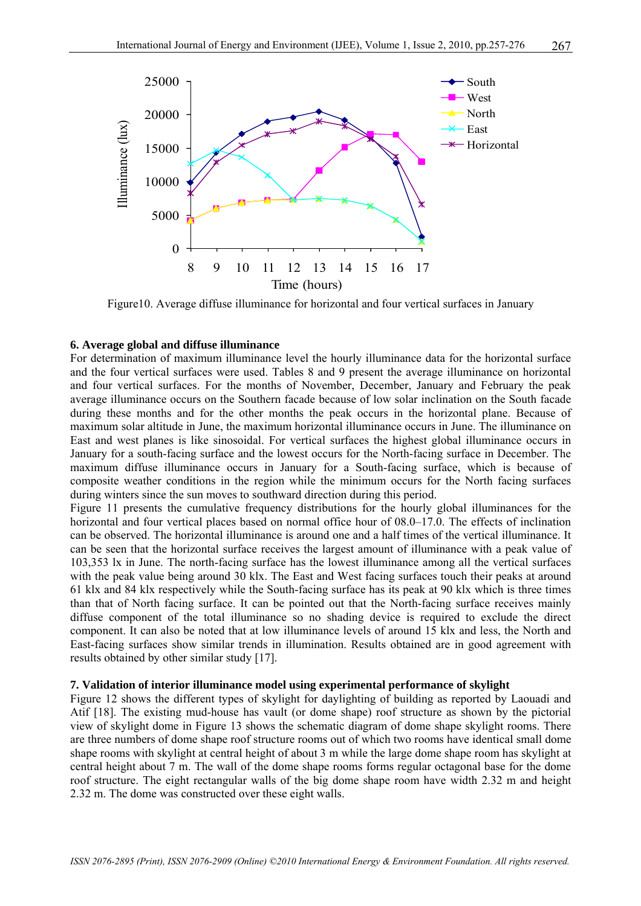

Figure10. Average diffuse illuminance for horizontal and four vertical surfaces in January

#### **6. Average global and diffuse illuminance**

For determination of maximum illuminance level the hourly illuminance data for the horizontal surface and the four vertical surfaces were used. Tables 8 and 9 present the average illuminance on horizontal and four vertical surfaces. For the months of November, December, January and February the peak average illuminance occurs on the Southern facade because of low solar inclination on the South facade during these months and for the other months the peak occurs in the horizontal plane. Because of maximum solar altitude in June, the maximum horizontal illuminance occurs in June. The illuminance on East and west planes is like sinosoidal. For vertical surfaces the highest global illuminance occurs in January for a south-facing surface and the lowest occurs for the North-facing surface in December. The maximum diffuse illuminance occurs in January for a South-facing surface, which is because of composite weather conditions in the region while the minimum occurs for the North facing surfaces during winters since the sun moves to southward direction during this period.

Figure 11 presents the cumulative frequency distributions for the hourly global illuminances for the horizontal and four vertical places based on normal office hour of 08.0–17.0. The effects of inclination can be observed. The horizontal illuminance is around one and a half times of the vertical illuminance. It can be seen that the horizontal surface receives the largest amount of illuminance with a peak value of 103,353 lx in June. The north-facing surface has the lowest illuminance among all the vertical surfaces with the peak value being around 30 klx. The East and West facing surfaces touch their peaks at around 61 klx and 84 klx respectively while the South-facing surface has its peak at 90 klx which is three times than that of North facing surface. It can be pointed out that the North-facing surface receives mainly diffuse component of the total illuminance so no shading device is required to exclude the direct component. It can also be noted that at low illuminance levels of around 15 klx and less, the North and East-facing surfaces show similar trends in illumination. Results obtained are in good agreement with results obtained by other similar study [17].

#### **7. Validation of interior illuminance model using experimental performance of skylight**

Figure 12 shows the different types of skylight for daylighting of building as reported by Laouadi and Atif [18]. The existing mud-house has vault (or dome shape) roof structure as shown by the pictorial view of skylight dome in Figure 13 shows the schematic diagram of dome shape skylight rooms. There are three numbers of dome shape roof structure rooms out of which two rooms have identical small dome shape rooms with skylight at central height of about 3 m while the large dome shape room has skylight at central height about 7 m. The wall of the dome shape rooms forms regular octagonal base for the dome roof structure. The eight rectangular walls of the big dome shape room have width 2.32 m and height 2.32 m. The dome was constructed over these eight walls.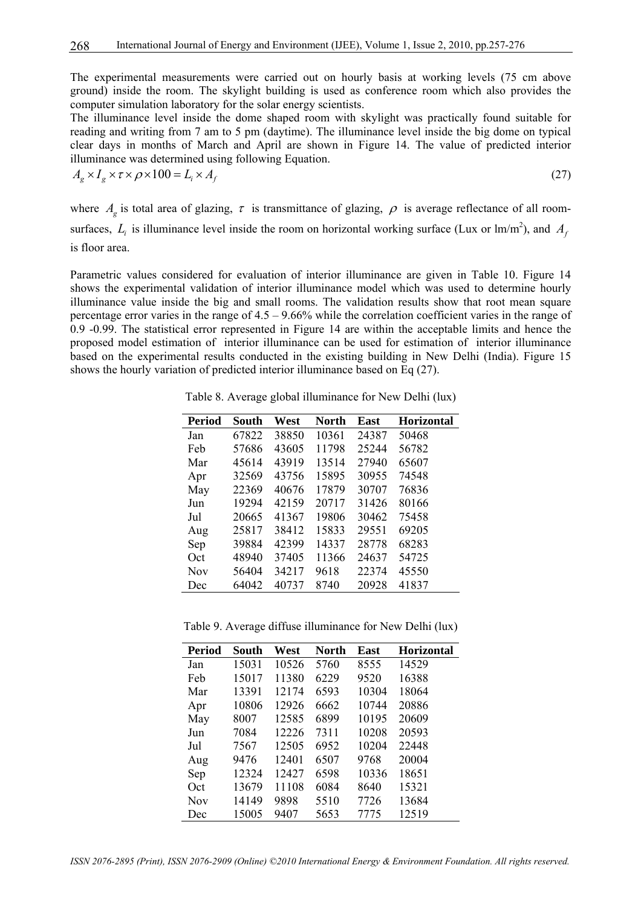The experimental measurements were carried out on hourly basis at working levels (75 cm above ground) inside the room. The skylight building is used as conference room which also provides the computer simulation laboratory for the solar energy scientists.

The illuminance level inside the dome shaped room with skylight was practically found suitable for reading and writing from 7 am to 5 pm (daytime). The illuminance level inside the big dome on typical clear days in months of March and April are shown in Figure 14. The value of predicted interior illuminance was determined using following Equation.

$$
A_g \times I_g \times \tau \times \rho \times 100 = L_i \times A_f \tag{27}
$$

where  $A_g$  is total area of glazing,  $\tau$  is transmittance of glazing,  $\rho$  is average reflectance of all roomsurfaces,  $L_i$  is illuminance level inside the room on horizontal working surface (Lux or  $\text{Im}/\text{m}^2$ ), and  $A_f$ is floor area.

Parametric values considered for evaluation of interior illuminance are given in Table 10. Figure 14 shows the experimental validation of interior illuminance model which was used to determine hourly illuminance value inside the big and small rooms. The validation results show that root mean square percentage error varies in the range of  $4.5 - 9.66\%$  while the correlation coefficient varies in the range of 0.9 -0.99. The statistical error represented in Figure 14 are within the acceptable limits and hence the proposed model estimation of interior illuminance can be used for estimation of interior illuminance based on the experimental results conducted in the existing building in New Delhi (India). Figure 15 shows the hourly variation of predicted interior illuminance based on Eq (27).

| <b>Period</b> | South | West  | <b>North</b> | <b>East</b> | <b>Horizontal</b> |
|---------------|-------|-------|--------------|-------------|-------------------|
| Jan           | 67822 | 38850 | 10361        | 24387       | 50468             |
| Feb           | 57686 | 43605 | 11798        | 25244       | 56782             |
| Mar           | 45614 | 43919 | 13514        | 27940       | 65607             |
| Apr           | 32569 | 43756 | 15895        | 30955       | 74548             |
| May           | 22369 | 40676 | 17879        | 30707       | 76836             |
| Jun           | 19294 | 42159 | 20717        | 31426       | 80166             |
| Jul           | 20665 | 41367 | 19806        | 30462       | 75458             |
| Aug           | 25817 | 38412 | 15833        | 29551       | 69205             |
| Sep           | 39884 | 42399 | 14337        | 28778       | 68283             |
| Oct           | 48940 | 37405 | 11366        | 24637       | 54725             |
| <b>Nov</b>    | 56404 | 34217 | 9618         | 22374       | 45550             |
| Dec           | 64042 | 40737 | 8740         | 20928       | 41837             |

Table 8. Average global illuminance for New Delhi (lux)

Table 9. Average diffuse illuminance for New Delhi (lux)

| Period     | South | West  | North | East  | <b>Horizontal</b> |
|------------|-------|-------|-------|-------|-------------------|
| Jan        | 15031 | 10526 | 5760  | 8555  | 14529             |
| Feb        | 15017 | 11380 | 6229  | 9520  | 16388             |
| Mar        | 13391 | 12174 | 6593  | 10304 | 18064             |
| Apr        | 10806 | 12926 | 6662  | 10744 | 20886             |
| May        | 8007  | 12585 | 6899  | 10195 | 20609             |
| Jun        | 7084  | 12226 | 7311  | 10208 | 20593             |
| Jul        | 7567  | 12505 | 6952  | 10204 | 22448             |
| Aug        | 9476  | 12401 | 6507  | 9768  | 20004             |
| Sep        | 12324 | 12427 | 6598  | 10336 | 18651             |
| Oct        | 13679 | 11108 | 6084  | 8640  | 15321             |
| <b>Nov</b> | 14149 | 9898  | 5510  | 7726  | 13684             |
| Dec        | 15005 | 9407  | 5653  | 7775  | 12519             |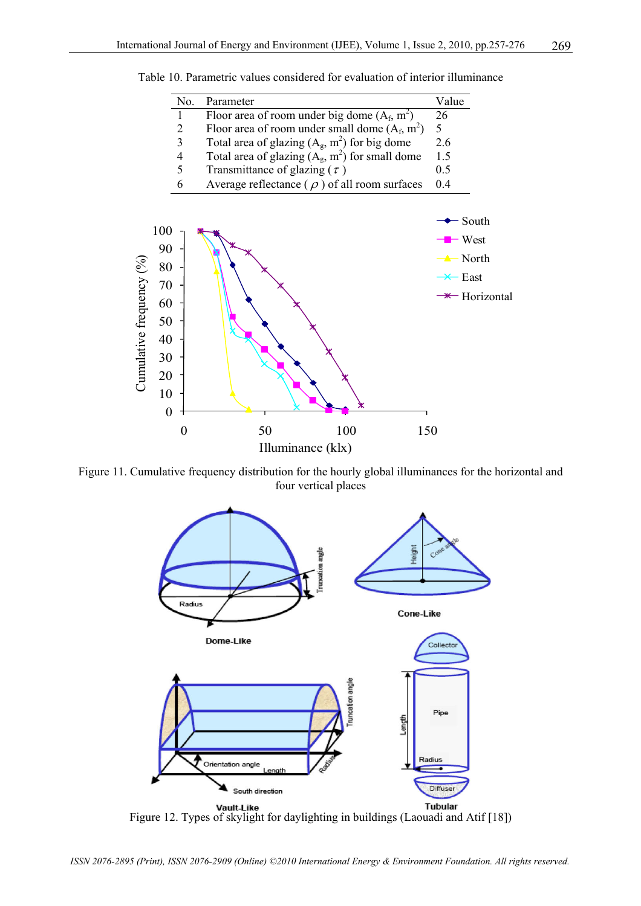|                 | No. | Parameter                                           | Value             |
|-----------------|-----|-----------------------------------------------------|-------------------|
|                 |     | Floor area of room under big dome $(A_f, m^2)$      | 26                |
|                 | 2   | Floor area of room under small dome $(A_f, m^2)$    | 5                 |
|                 | 3   | Total area of glazing $(A_g, m^2)$ for big dome     | 2.6               |
|                 | 4   | Total area of glazing $(A_g, m^2)$ for small dome   | 1.5               |
|                 | 5   | Transmittance of glazing ( $\tau$ )                 | 0.5               |
|                 | 6   | Average reflectance ( $\rho$ ) of all room surfaces | 0.4               |
|                 |     |                                                     |                   |
|                 |     |                                                     | South             |
| Ж               |     |                                                     | – West            |
| 90<br>80        |     |                                                     | $\triangle$ North |
| 70              |     |                                                     | $\times$ East     |
| $\overline{50}$ |     |                                                     | Horiz             |
|                 |     |                                                     |                   |

Table 10. Parametric values considered for evaluation of interior illuminance



Figure 11. Cumulative frequency distribution for the hourly global illuminances for the horizontal and four vertical places



**Figure 12. Types of skylight for daylighting in buildings (Laouadi and Atif [18])**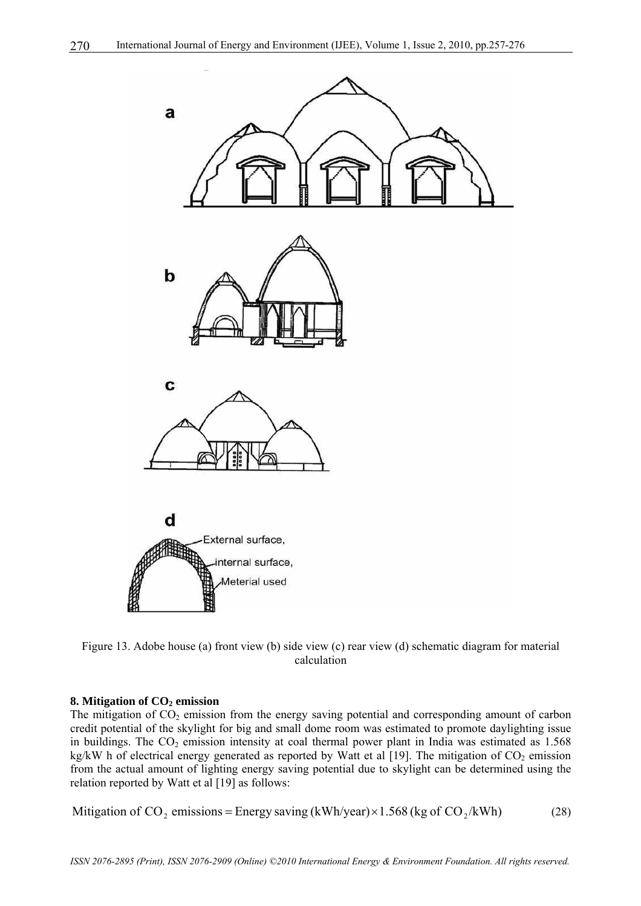

Figure 13. Adobe house (a) front view (b) side view (c) rear view (d) schematic diagram for material calculation

## **8. Mitigation of CO<sub>2</sub> emission**

The mitigation of  $CO<sub>2</sub>$  emission from the energy saving potential and corresponding amount of carbon credit potential of the skylight for big and small dome room was estimated to promote daylighting issue in buildings. The  $CO<sub>2</sub>$  emission intensity at coal thermal power plant in India was estimated as 1.568 kg/kW h of electrical energy generated as reported by Watt et al [19]. The mitigation of  $CO<sub>2</sub>$  emission from the actual amount of lighting energy saving potential due to skylight can be determined using the relation reported by Watt et al [19] as follows:

Mitigation of CO<sub>2</sub> emissions = Energy saving (kWh/year) × 1.568 (kg of CO<sub>2</sub>/kWh) (28)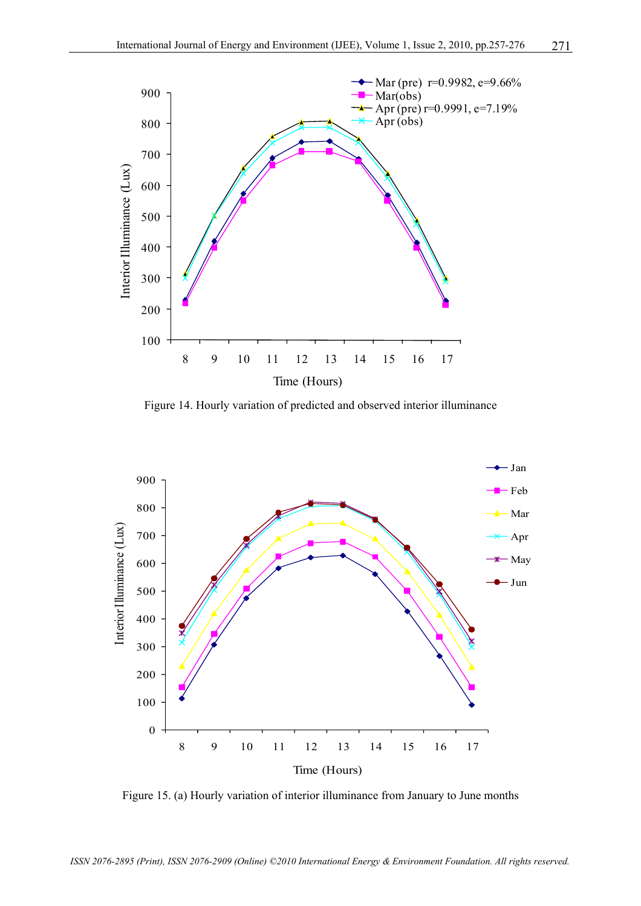

Figure 14. Hourly variation of predicted and observed interior illuminance



Figure 15. (a) Hourly variation of interior illuminance from January to June months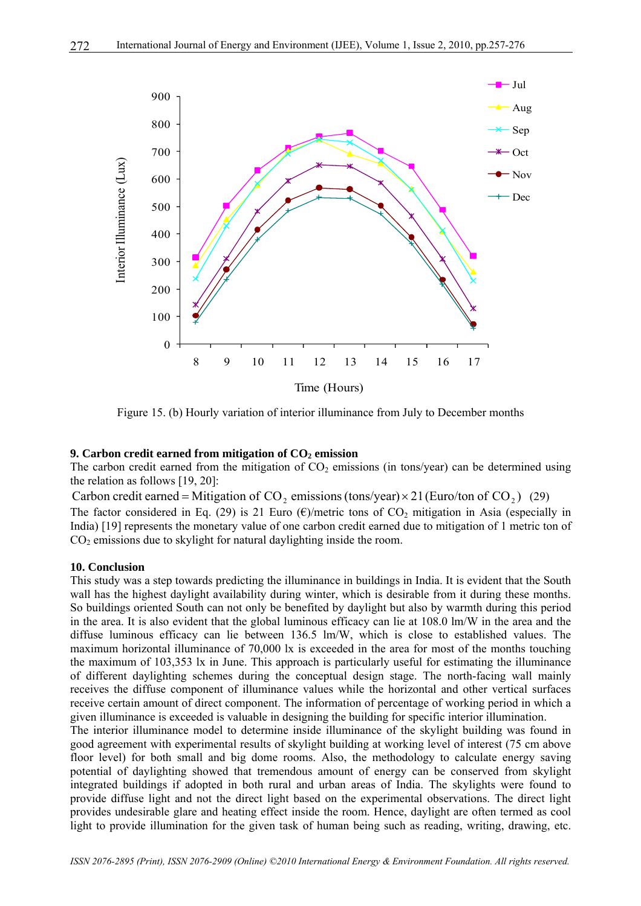

Figure 15. (b) Hourly variation of interior illuminance from July to December months

#### **9. Carbon credit earned from mitigation of CO<sub>2</sub> emission**

The carbon credit earned from the mitigation of  $CO<sub>2</sub>$  emissions (in tons/year) can be determined using the relation as follows [19, 20]:

Carbon credit earned = Mitigation of CO, emissions (tons/year)  $\times$  21 (Euro/ton of CO,) (29) The factor considered in Eq. (29) is 21 Euro  $(\epsilon)$ /metric tons of CO<sub>2</sub> mitigation in Asia (especially in India) [19] represents the monetary value of one carbon credit earned due to mitigation of 1 metric ton of  $CO<sub>2</sub>$  emissions due to skylight for natural daylighting inside the room.

#### **10. Conclusion**

This study was a step towards predicting the illuminance in buildings in India. It is evident that the South wall has the highest daylight availability during winter, which is desirable from it during these months. So buildings oriented South can not only be benefited by daylight but also by warmth during this period in the area. It is also evident that the global luminous efficacy can lie at 108.0 lm/W in the area and the diffuse luminous efficacy can lie between 136.5 lm/W, which is close to established values. The maximum horizontal illuminance of 70,000 lx is exceeded in the area for most of the months touching the maximum of 103,353 lx in June. This approach is particularly useful for estimating the illuminance of different daylighting schemes during the conceptual design stage. The north-facing wall mainly receives the diffuse component of illuminance values while the horizontal and other vertical surfaces receive certain amount of direct component. The information of percentage of working period in which a given illuminance is exceeded is valuable in designing the building for specific interior illumination.

The interior illuminance model to determine inside illuminance of the skylight building was found in good agreement with experimental results of skylight building at working level of interest (75 cm above floor level) for both small and big dome rooms. Also, the methodology to calculate energy saving potential of daylighting showed that tremendous amount of energy can be conserved from skylight integrated buildings if adopted in both rural and urban areas of India. The skylights were found to provide diffuse light and not the direct light based on the experimental observations. The direct light provides undesirable glare and heating effect inside the room. Hence, daylight are often termed as cool light to provide illumination for the given task of human being such as reading, writing, drawing, etc.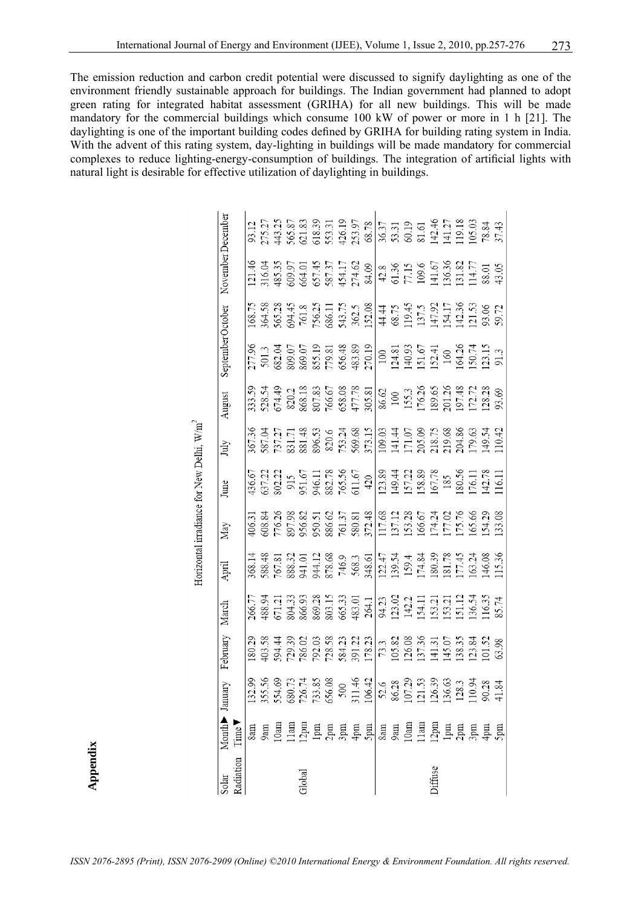The emission reduction and carbon credit potential were discussed to signify daylighting as one of the environment friendly sustainable approach for buildings. The Indian government had planned to adopt green rating for integrated habitat assessment (GRIHA) for all new buildings. This will be made mandatory for the commercial buildings which consume 100 kW of power or more in 1 h [21]. The daylighting is one of the important building codes defined by GRIHA for building rating system in India. With the advent of this rating system, day-lighting in buildings will be made mandatory for commercial complexes to reduce lighting-energy-consumption of buildings. The integration of artificial lights with natural light is desirable for effective utilization of daylighting in buildings.

| Solar     |                  |                                                                                                                                                                                                                                                                                                     |          | March                                                                                                                                                                                                                               |                                                                                                                                                                                                                                      |     |      |      |        |                  |                                                                                                                                                                           |                   |                                                                                                                                                                                                                                                                                                               |
|-----------|------------------|-----------------------------------------------------------------------------------------------------------------------------------------------------------------------------------------------------------------------------------------------------------------------------------------------------|----------|-------------------------------------------------------------------------------------------------------------------------------------------------------------------------------------------------------------------------------------|--------------------------------------------------------------------------------------------------------------------------------------------------------------------------------------------------------------------------------------|-----|------|------|--------|------------------|---------------------------------------------------------------------------------------------------------------------------------------------------------------------------|-------------------|---------------------------------------------------------------------------------------------------------------------------------------------------------------------------------------------------------------------------------------------------------------------------------------------------------------|
| ladiation | Time <sup></sup> | Month▶ January                                                                                                                                                                                                                                                                                      | February |                                                                                                                                                                                                                                     | April                                                                                                                                                                                                                                | May | June | July | August | SeptemberOctober |                                                                                                                                                                           | November December |                                                                                                                                                                                                                                                                                                               |
|           |                  |                                                                                                                                                                                                                                                                                                     |          |                                                                                                                                                                                                                                     |                                                                                                                                                                                                                                      |     |      |      |        |                  |                                                                                                                                                                           |                   |                                                                                                                                                                                                                                                                                                               |
|           |                  |                                                                                                                                                                                                                                                                                                     |          |                                                                                                                                                                                                                                     |                                                                                                                                                                                                                                      |     |      |      |        |                  |                                                                                                                                                                           |                   |                                                                                                                                                                                                                                                                                                               |
|           |                  |                                                                                                                                                                                                                                                                                                     |          |                                                                                                                                                                                                                                     |                                                                                                                                                                                                                                      |     |      |      |        |                  |                                                                                                                                                                           |                   |                                                                                                                                                                                                                                                                                                               |
|           |                  |                                                                                                                                                                                                                                                                                                     |          |                                                                                                                                                                                                                                     |                                                                                                                                                                                                                                      |     |      |      |        |                  |                                                                                                                                                                           |                   |                                                                                                                                                                                                                                                                                                               |
| Global    |                  |                                                                                                                                                                                                                                                                                                     |          |                                                                                                                                                                                                                                     |                                                                                                                                                                                                                                      |     |      |      |        |                  |                                                                                                                                                                           |                   |                                                                                                                                                                                                                                                                                                               |
|           |                  |                                                                                                                                                                                                                                                                                                     |          |                                                                                                                                                                                                                                     |                                                                                                                                                                                                                                      |     |      |      |        |                  |                                                                                                                                                                           |                   |                                                                                                                                                                                                                                                                                                               |
|           |                  |                                                                                                                                                                                                                                                                                                     |          |                                                                                                                                                                                                                                     |                                                                                                                                                                                                                                      |     |      |      |        |                  |                                                                                                                                                                           |                   |                                                                                                                                                                                                                                                                                                               |
|           |                  |                                                                                                                                                                                                                                                                                                     |          |                                                                                                                                                                                                                                     |                                                                                                                                                                                                                                      |     |      |      |        |                  |                                                                                                                                                                           |                   |                                                                                                                                                                                                                                                                                                               |
|           |                  |                                                                                                                                                                                                                                                                                                     |          |                                                                                                                                                                                                                                     |                                                                                                                                                                                                                                      |     |      |      |        |                  |                                                                                                                                                                           |                   |                                                                                                                                                                                                                                                                                                               |
|           |                  | $\begin{array}{l} 23.58 \\ 23.53 \\ 25.54 \\ 26.59 \\ 27.54 \\ 28.55 \\ 29.51 \\ 25.53 \\ 26.59 \\ 27.54 \\ 28.59 \\ 29.59 \\ 20.54 \\ 21.54 \\ 23.55 \\ 24.54 \\ 25.55 \\ 26.57 \\ 27.57 \\ 28.59 \\ 29.59 \\ 21.54 \\ 21.53 \\ 22.54 \\ 23.54 \\ 24.54 \\ 25.55 \\ 26.57 \\ 27.58 \\ 28.59 \\ 29$ |          | 06.77<br>188.94.33 33 33 33 34 35 36 36 36 36 36 36 36 36 37 37 37 37 37 38 39 38 39 30 31 32 32 33 34 35 36 36 37 4<br>20 30 30 30 30 30 30 31 32 32 33 33 34 35 35 36 36 37 47 38 36 37 47 47 38 30 31 32 32 33 33 34 35 36 37 47 | 368.14 37 38.33 38.34 38.35 38.35 38.35 38.35 38.35 38.35 38.35 38.35 38.35 38.35 38.35 38.35 38.35 39.35 39.3<br>588.35 37 37 38.35 38.35 38.35 38.35 38.35 38.35 38.35 38.35 38.35 38.35 38.35 38.35 38.35 38.35 38.35 39.35<br>11 |     |      |      |        |                  | 168.75<br>164.58 38.41 43.55 58.55 58.55 58.55 58.55 58.55 58.55 58.55 58.55 58.55 59.55 59.55 59.55 59.55 59.72<br>16.55 58.55 59.55 59.55 59.55 59.55 59.55 59.55 59.72 |                   | $\begin{array}{l} 21.7 \\ 23.7 \\ 25.7 \\ 26.8 \\ 27.7 \\ 28.8 \\ 29.8 \\ 21.8 \\ 23.8 \\ 24.8 \\ 25.8 \\ 26.8 \\ 27.8 \\ 28.8 \\ 29.8 \\ 20.8 \\ 21.8 \\ 22.8 \\ 23.8 \\ 24.8 \\ 25.8 \\ 26.8 \\ 27.8 \\ 28.8 \\ 29.8 \\ 20.8 \\ 20.8 \\ 27.8 \\ 28.8 \\ 29.8 \\ 29.8 \\ 20.8 \\ 27.8 \\ 29.8 \\ 20.8 \\ 27$ |
|           |                  |                                                                                                                                                                                                                                                                                                     |          |                                                                                                                                                                                                                                     |                                                                                                                                                                                                                                      |     |      |      |        |                  |                                                                                                                                                                           |                   |                                                                                                                                                                                                                                                                                                               |
|           |                  |                                                                                                                                                                                                                                                                                                     |          |                                                                                                                                                                                                                                     |                                                                                                                                                                                                                                      |     |      |      |        |                  |                                                                                                                                                                           |                   |                                                                                                                                                                                                                                                                                                               |
|           |                  |                                                                                                                                                                                                                                                                                                     |          |                                                                                                                                                                                                                                     |                                                                                                                                                                                                                                      |     |      |      |        |                  |                                                                                                                                                                           |                   |                                                                                                                                                                                                                                                                                                               |
|           |                  |                                                                                                                                                                                                                                                                                                     |          |                                                                                                                                                                                                                                     |                                                                                                                                                                                                                                      |     |      |      |        |                  |                                                                                                                                                                           |                   |                                                                                                                                                                                                                                                                                                               |
| viffuse   |                  |                                                                                                                                                                                                                                                                                                     |          |                                                                                                                                                                                                                                     |                                                                                                                                                                                                                                      |     |      |      |        |                  |                                                                                                                                                                           |                   |                                                                                                                                                                                                                                                                                                               |
|           |                  |                                                                                                                                                                                                                                                                                                     |          |                                                                                                                                                                                                                                     |                                                                                                                                                                                                                                      |     |      |      |        |                  |                                                                                                                                                                           |                   |                                                                                                                                                                                                                                                                                                               |
|           |                  |                                                                                                                                                                                                                                                                                                     |          |                                                                                                                                                                                                                                     |                                                                                                                                                                                                                                      |     |      |      |        |                  |                                                                                                                                                                           |                   |                                                                                                                                                                                                                                                                                                               |
|           |                  |                                                                                                                                                                                                                                                                                                     |          |                                                                                                                                                                                                                                     |                                                                                                                                                                                                                                      |     |      |      |        |                  |                                                                                                                                                                           |                   |                                                                                                                                                                                                                                                                                                               |
|           |                  |                                                                                                                                                                                                                                                                                                     |          |                                                                                                                                                                                                                                     |                                                                                                                                                                                                                                      |     |      |      |        |                  |                                                                                                                                                                           |                   |                                                                                                                                                                                                                                                                                                               |
|           |                  |                                                                                                                                                                                                                                                                                                     |          |                                                                                                                                                                                                                                     |                                                                                                                                                                                                                                      |     |      |      |        |                  |                                                                                                                                                                           |                   |                                                                                                                                                                                                                                                                                                               |

**Appendix** 

Horizontal irradiance for New Delhi, W/m<sup>2</sup>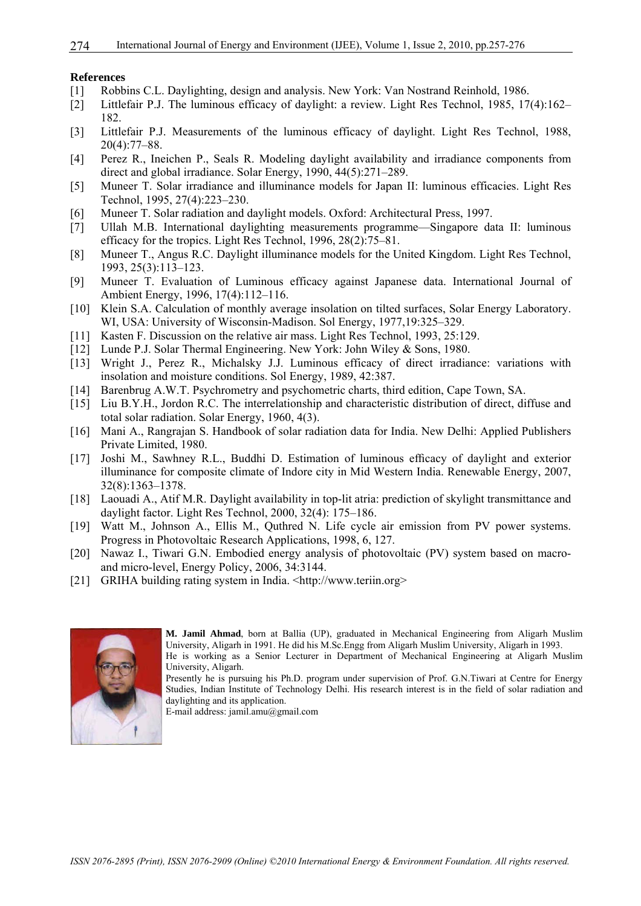#### **References**

- [1] Robbins C.L. Daylighting, design and analysis. New York: Van Nostrand Reinhold, 1986.
- [2] Littlefair P.J. The luminous efficacy of daylight: a review. Light Res Technol, 1985, 17(4):162– 182.
- [3] Littlefair P.J. Measurements of the luminous efficacy of daylight. Light Res Technol, 1988, 20(4):77–88.
- [4] Perez R., Ineichen P., Seals R. Modeling daylight availability and irradiance components from direct and global irradiance. Solar Energy, 1990, 44(5):271–289.
- [5] Muneer T. Solar irradiance and illuminance models for Japan II: luminous efficacies. Light Res Technol, 1995, 27(4):223–230.
- [6] Muneer T. Solar radiation and daylight models. Oxford: Architectural Press, 1997.
- [7] Ullah M.B. International daylighting measurements programme—Singapore data II: luminous efficacy for the tropics. Light Res Technol, 1996, 28(2):75–81.
- [8] Muneer T., Angus R.C. Daylight illuminance models for the United Kingdom. Light Res Technol, 1993, 25(3):113–123.
- [9] Muneer T. Evaluation of Luminous efficacy against Japanese data. International Journal of Ambient Energy, 1996, 17(4):112–116.
- [10] Klein S.A. Calculation of monthly average insolation on tilted surfaces, Solar Energy Laboratory. WI, USA: University of Wisconsin-Madison. Sol Energy, 1977,19:325–329.
- [11] Kasten F. Discussion on the relative air mass. Light Res Technol, 1993, 25:129.
- [12] Lunde P.J. Solar Thermal Engineering. New York: John Wiley & Sons, 1980.
- [13] Wright J., Perez R., Michalsky J.J. Luminous efficacy of direct irradiance: variations with insolation and moisture conditions. Sol Energy, 1989, 42:387.
- [14] Barenbrug A.W.T. Psychrometry and psychometric charts, third edition, Cape Town, SA.
- [15] Liu B.Y.H., Jordon R.C. The interrelationship and characteristic distribution of direct, diffuse and total solar radiation. Solar Energy, 1960, 4(3).
- [16] Mani A., Rangrajan S. Handbook of solar radiation data for India. New Delhi: Applied Publishers Private Limited, 1980.
- [17] Joshi M., Sawhney R.L., Buddhi D. Estimation of luminous efficacy of daylight and exterior illuminance for composite climate of Indore city in Mid Western India. Renewable Energy, 2007, 32(8):1363–1378.
- [18] Laouadi A., Atif M.R. Daylight availability in top-lit atria: prediction of skylight transmittance and daylight factor. Light Res Technol, 2000, 32(4): 175–186.
- [19] Watt M., Johnson A., Ellis M., Quthred N. Life cycle air emission from PV power systems. Progress in Photovoltaic Research Applications, 1998, 6, 127.
- [20] Nawaz I., Tiwari G.N. Embodied energy analysis of photovoltaic (PV) system based on macroand micro-level, Energy Policy, 2006, 34:3144.
- [21] GRIHA building rating system in India. <http://www.teriin.org>



**M. Jamil Ahmad**, born at Ballia (UP), graduated in Mechanical Engineering from Aligarh Muslim University, Aligarh in 1991. He did his M.Sc.Engg from Aligarh Muslim University, Aligarh in 1993. He is working as a Senior Lecturer in Department of Mechanical Engineering at Aligarh Muslim University, Aligarh.

Presently he is pursuing his Ph.D. program under supervision of Prof. G.N.Tiwari at Centre for Energy Studies, Indian Institute of Technology Delhi. His research interest is in the field of solar radiation and daylighting and its application.

E-mail address: jamil.amu@gmail.com